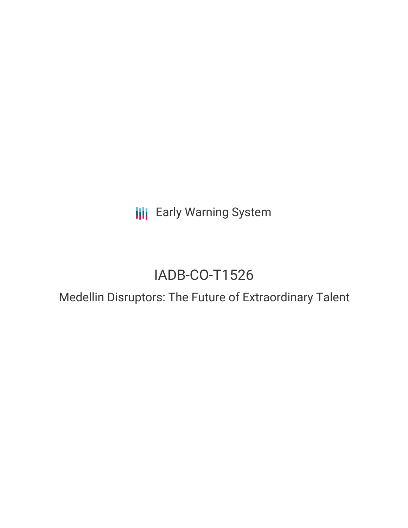**III** Early Warning System

# IADB-CO-T1526

## Medellin Disruptors: The Future of Extraordinary Talent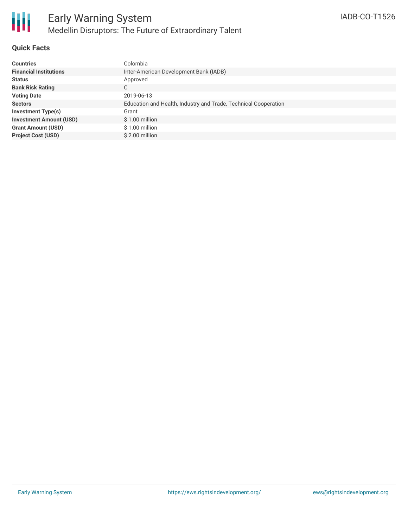

#### **Quick Facts**

| <b>Countries</b>               | Colombia                                                        |
|--------------------------------|-----------------------------------------------------------------|
| <b>Financial Institutions</b>  | Inter-American Development Bank (IADB)                          |
| <b>Status</b>                  | Approved                                                        |
| <b>Bank Risk Rating</b>        | C                                                               |
| <b>Voting Date</b>             | 2019-06-13                                                      |
| <b>Sectors</b>                 | Education and Health, Industry and Trade, Technical Cooperation |
| <b>Investment Type(s)</b>      | Grant                                                           |
| <b>Investment Amount (USD)</b> | $$1.00$ million                                                 |
| <b>Grant Amount (USD)</b>      | \$1.00 million                                                  |
| <b>Project Cost (USD)</b>      | \$2.00 million                                                  |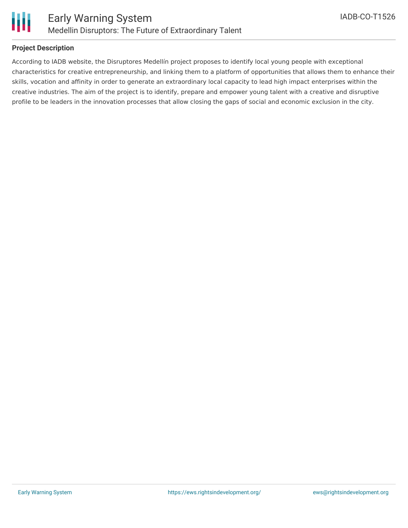

#### **Project Description**

According to IADB website, the Disruptores Medellín project proposes to identify local young people with exceptional characteristics for creative entrepreneurship, and linking them to a platform of opportunities that allows them to enhance their skills, vocation and affinity in order to generate an extraordinary local capacity to lead high impact enterprises within the creative industries. The aim of the project is to identify, prepare and empower young talent with a creative and disruptive profile to be leaders in the innovation processes that allow closing the gaps of social and economic exclusion in the city.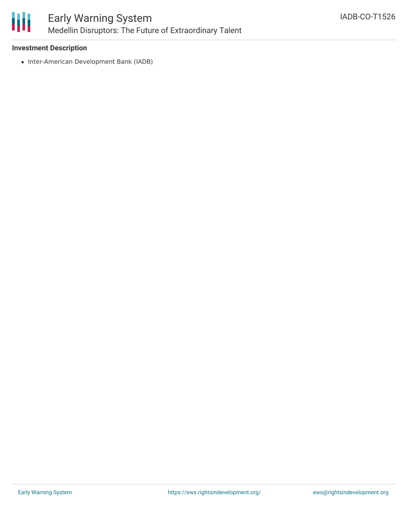

#### **Investment Description**

• Inter-American Development Bank (IADB)